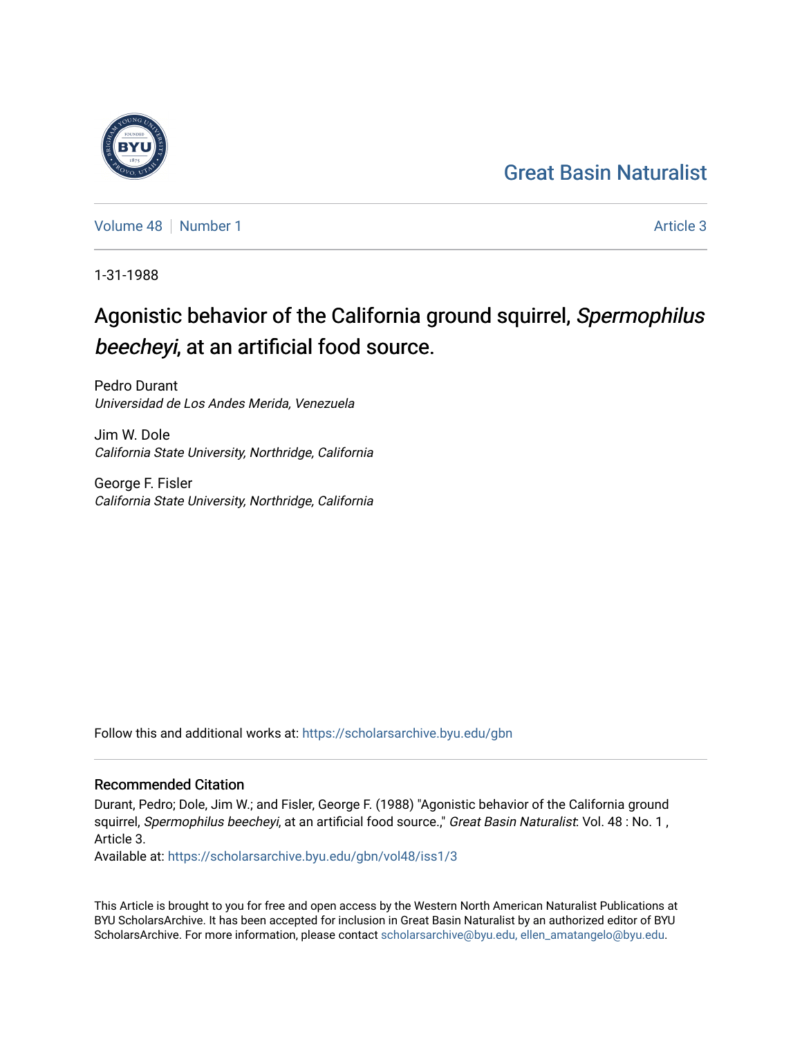## [Great Basin Naturalist](https://scholarsarchive.byu.edu/gbn)

[Volume 48](https://scholarsarchive.byu.edu/gbn/vol48) [Number 1](https://scholarsarchive.byu.edu/gbn/vol48/iss1) [Article 3](https://scholarsarchive.byu.edu/gbn/vol48/iss1/3) Article 3

1-31-1988

# Agonistic behavior of the California ground squirrel, Spermophilus beecheyi, at an artificial food source.

Pedro Durant Universidad de Los Andes Merida, Venezuela

Jim W. Dole California State University, Northridge, California

George F. Fisler California State University, Northridge, California

Follow this and additional works at: [https://scholarsarchive.byu.edu/gbn](https://scholarsarchive.byu.edu/gbn?utm_source=scholarsarchive.byu.edu%2Fgbn%2Fvol48%2Fiss1%2F3&utm_medium=PDF&utm_campaign=PDFCoverPages) 

### Recommended Citation

Durant, Pedro; Dole, Jim W.; and Fisler, George F. (1988) "Agonistic behavior of the California ground squirrel, Spermophilus beecheyi, at an artificial food source.," Great Basin Naturalist: Vol. 48 : No. 1, Article 3.

Available at: [https://scholarsarchive.byu.edu/gbn/vol48/iss1/3](https://scholarsarchive.byu.edu/gbn/vol48/iss1/3?utm_source=scholarsarchive.byu.edu%2Fgbn%2Fvol48%2Fiss1%2F3&utm_medium=PDF&utm_campaign=PDFCoverPages)

This Article is brought to you for free and open access by the Western North American Naturalist Publications at BYU ScholarsArchive. It has been accepted for inclusion in Great Basin Naturalist by an authorized editor of BYU ScholarsArchive. For more information, please contact [scholarsarchive@byu.edu, ellen\\_amatangelo@byu.edu.](mailto:scholarsarchive@byu.edu,%20ellen_amatangelo@byu.edu)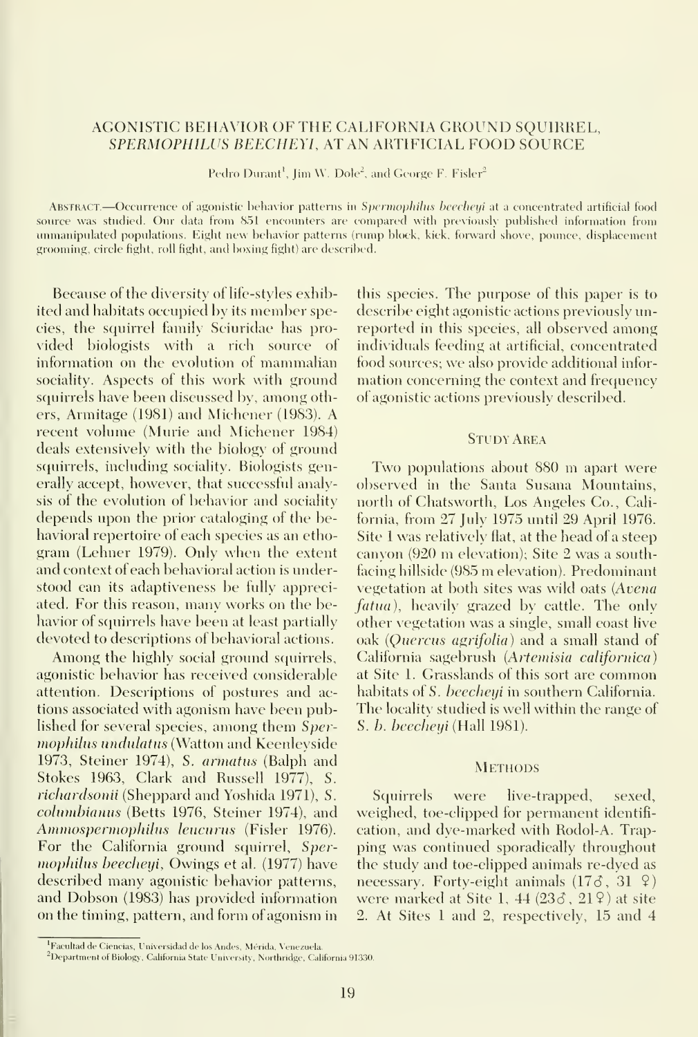#### AGONISTIC BEHAVIOR OF THE CALIEORNIA GROUND SQUIRREL, SPERMOPHILUS BEECHEYI, AT AN ARTIFICIAL FOOD SOURCE

Pedro Durant<sup>1</sup>, Jim W. Dole<sup>2</sup>, and George F. Fisler<sup>2</sup>

ABSTRACT.—Occurrence of agonistic behavior patterns in Spermophilus beecheyi at a concentrated artificial food source was studied. Our data from 851 encounters are compared with previously published information from unmanipulated populations. Eight new behavior patterns (rump block, kick, forward shove, pounce, displacement grooming, circle fight, roll fight, and boxing fight) are described.

Because of the diversity of life-styles exhibited and habitats occupied by its member species, the squirrel family Sciuridae has pro vided biologists with a rich source of information on the evolution of mammalian sociality. Aspects of this work with ground squirrels have been discussed by, among others, Armitage (1981) and Michener (1983). A recent volume (Murie and Michener 1984) deals extensively with the biology of ground squirrels, including sociality. Biologists generally accept, however, that successful analysis of the evolution of behavior and sociality depends upon the prior cataloging of the behavioral repertoire of each species as an ethogram (Lehner 1979). Only when the extent and context of each behavioral action is imderstood can its adaptiveness be fully appreciated. For this reason, many works on the behavior of squirrels have been at least partially devoted to descriptions of behavioral actions.

Among the highly social ground squirrels, agonistic behavior has received considerable attention. Descriptions of postures and ac tions associated with agonism have been published for several species, among them Spermophilus undulatus (Watton and Keenleyside 1973, Steiner 1974), S. armatus (Balph and Stokes 1963, Clark and Russell 1977), S. richardsonii (Sheppard and Yoshida 1971), S. columbianus (Betts 1976, Steiner 1974), and Ammospermophilus leucurus (Fisler 1976). For the California ground squirrel, Spermophilus beecheyi, Owings et al. (1977) have described many agonistic behavior patterns, and Dobson (1983) has provided information on the timing, pattern, and form of agonism in

this species. The purpose of this paper is to describe eight agonistic actions previously unreported in this species, all observed among individuals feeding at artificial, concentrated food sources; we also provide additional infor mation concerning the context and frequency of agonistic actions previously described.

#### **STUDY AREA**

Two populations about <sup>880</sup> m apart were observed in the Santa Susana Mountains, north of Chatsworth, Los Angeles Co., California, from 27 July 1975 until 29 April 1976. Site <sup>1</sup> was relatively flat, at the head of a steep canyon (920 m elevation); Site <sup>2</sup> was <sup>a</sup> southfacing hillside (985 m elevation). Predominant vegetation at both sites was wild oats {Avena fatua), heavily grazed by cattle. The only other vegetation was a single, small coast live oak (Quercus agrifolia) and a small stand of California sagebrush (Artemisia californica) at Site 1. Grasslands of this sort are common habitats of S. beecheyi in southern California. The localitv studied is well within the range of S. b. beecheyi (Hall 1981).

#### **METHODS**

Squirrels were live-trapped, sexed, weighed, toe-clipped for permanent identifi cation, and dye-marked with Rodol-A. Trapping was continued sporadically throughout the study and toe-clipped animals re-dyed as necessary. Forty-eight animals  $(17\delta, 31 \Omega)$ were marked at Site 1,  $44$  (23 $3$ ,  $21$  ?) at site 2. At Sites <sup>1</sup> and 2, respectively, 15 and 4

<sup>&</sup>lt;sup>1</sup>Facultad de Ciencias, Universidad de los Andes, Mérida, Venezuela.

<sup>&</sup>lt;sup>2</sup>Department of Biology, California State University, Northridge, California 91330.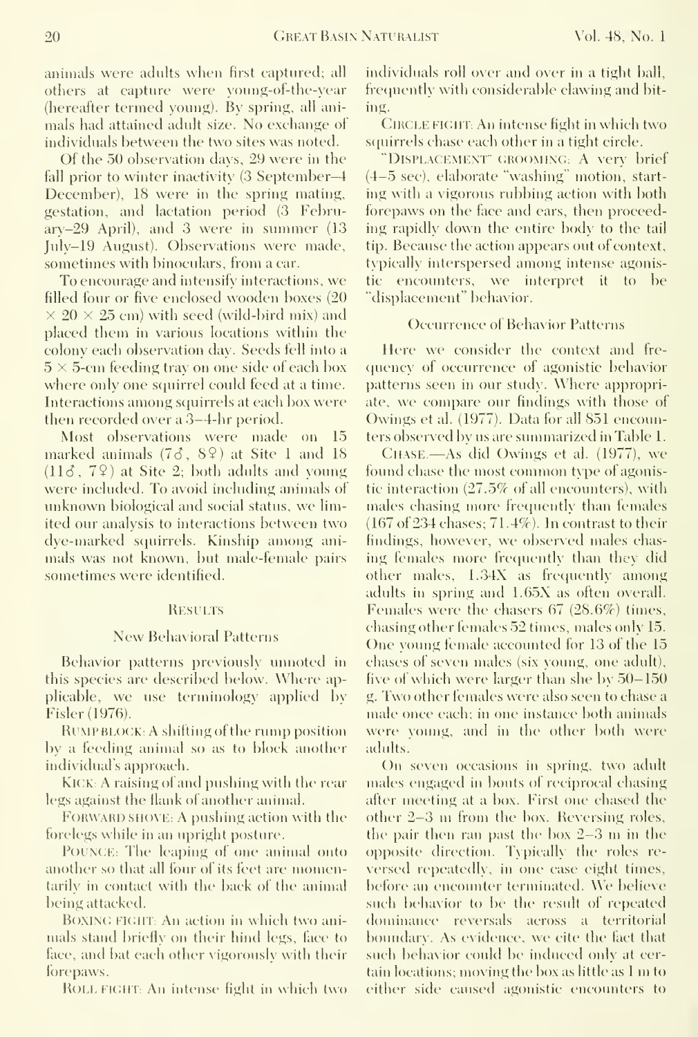animals were adults when first captured; all others at capture were young-of-the-year (hereafter termed young). By spring, all ani mals had attained adult size. No exchange of individuals between the two sites was noted.

Of the 50 observation days, 29 were in the fall prior to winter inactivity (3 September-4 December), 18 were in the spring mating, gestation, and lactation period (3 February-29 April), and 3 were in summer (13 July-19 August). Observations were made, sometimes with binoculars, from a car.

To encourage and intensify interactions, we filled four or five enclosed wooden boxes (20  $\times$  20  $\times$  25 cm) with seed (wild-bird mix) and placed them in various locations within the colony each observation day. Seeds fell into a  $5 \times 5$ -cm feeding tray on one side of each box where only one squirrel could feed at a time. Interactions among squirrels at each box were then recorded over a 3-4-hr period.

Most observations were made on 15 marked animals  $(73, 89)$  at Site 1 and 18  $(11\delta, 7\Omega)$  at Site 2; both adults and young were included. To avoid including animals of unknown biological and social status, we limited our analysis to interactions between two dye-marked squirrels. Kinship among ani mals was not known, but male-female pairs sometimes were identified.

#### **RESULTS**

#### New Behavioral Patterns

Behavior patterns previously unnoted in this species are described below. Where applicable, we use terminologv applied by Fisler(1976).

Rump BLOCK; A shifting of the rump position by a feeding animal so as to block another individual's approach.

Kick.: A raising of and pushing with the rear legs against the flank of another animal.

FORWARD SHOVE: A pushing action with the forelegs while in an upright posture.

PoUNCE: The leaping of one animal onto another so that all four of its feet are momentarily in contact with the back of the animal being attacked.

BOXING FIGHT: An action in which two animals stand briefly on their hind legs, face to face, and bat each other vigorously with their fore paws.

ROLLFICHT: An intense fight in which two

individuals roll over and over in a tight ball, frecjuently with considerable clawing and bit ing.

CIRCLE FIGHT: An intense fight in which two squirrels chase each other in a tight circle.

"Displacement' croominG: A very brief  $(4-5 \text{ sec})$ , elaborate "washing" motion, starting with a vigorous rubbing action with both forepaws on the face and ears, then proceeding rapidly down the entire body to the tail tip. Because the action appears out of context, typically interspersed among intense agonistic encounters, we interpret it to be "displacement" behavior.

#### Occurrence of Behavior Patterns

Here we consider the context and fre quency of occurrence of agonistic behavior patterns seen in our study. Where appropriate, we compare our findings with those of Owings et al. (1977). Data for all 851 encounters observed by us are siuumarized in Table 1.

CHASE.—As did Owings et al. (1977), we found chase the most common type of agonistic interaction (27.5% of all encounters), with males chasing more frequently than females (167 of 234 chases; 71.4%). In contrast to their findings, however, we observed males chasing females more frequently than they did other males, 1.34X as frequently among adults in spring and 1.65X as often overall. Females were the chasers 67 (28.6%) times, chasing other females 52 times, males only 15. One young female accounted for 13 of the 15 chases of seven males (six young, one adult), five of which were larger than she by  $50-150$ g. Two other females were also seen to chase <sup>a</sup> male once each; in one instance both animals were young, and in the other both were adults.

On seven occasions in spring, two adult males engaged in bouts of reciprocal chasing after meeting at a box. First one chased the other 2-3 m from the box. Reversing roles, the pair then ran past the box 2-3 m in the opposite direction. Typically the roles reversed repeatedly, in one case eight times, before an encounter terminated. We believe such behavior to be the result of repeated dominance rexcrsals across a territorial boundary. As evidence, we cite the fact that such behavior could be induced only at certain locations; moving the box as little as  $1 \text{ m}$  to either side caused agonistic encounters to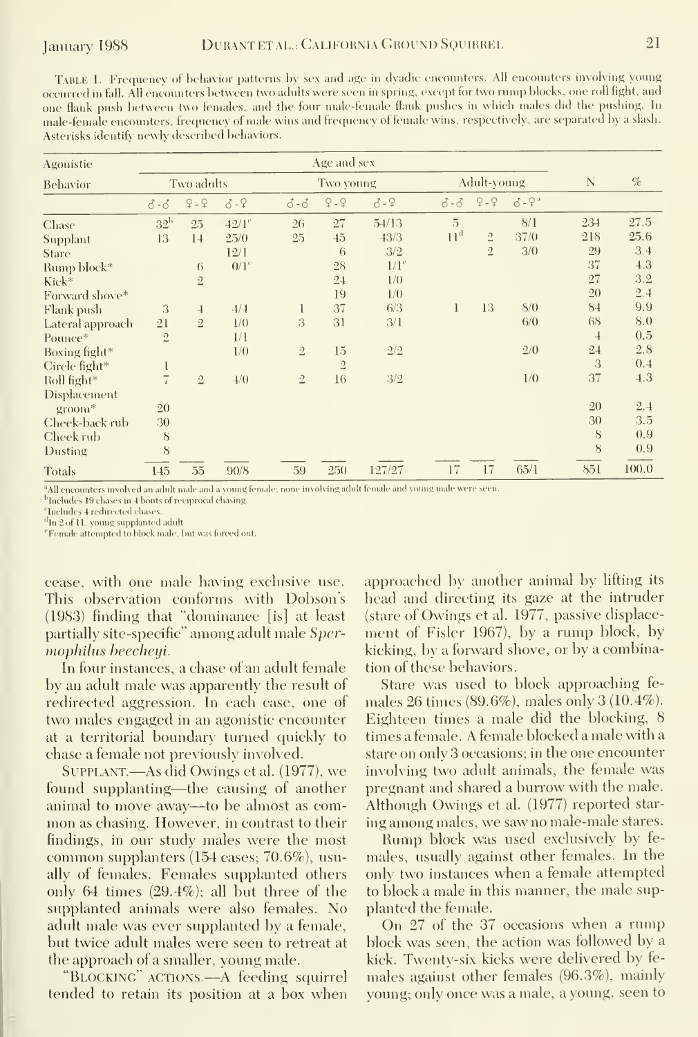Table 1.Frequency of behavior patterns hy sex and age in dyadic encounters. All encounters involving young occurred in fall. All encounters between two adults were seen in spring, except for two rump blocks, one roll fight, and one flank push between two females, and the four male-female flank pushes in which males did the pushing. In male-female encounters, frecjuency of male wins and freciuency of female wins, respectively, are separated by <sup>a</sup> slash. Asterisks identifv newlv described behaviors.

| Agonistie        | Age and sex       |                |                     |                   |                |         |                   |                |             |                |       |
|------------------|-------------------|----------------|---------------------|-------------------|----------------|---------|-------------------|----------------|-------------|----------------|-------|
| Behavior         | Two adults        |                |                     |                   | Two young      |         |                   | Adult-young    |             |                | $\%$  |
|                  | $\delta - \delta$ | $9 - 9$        | $3 - 9$             | $\delta - \delta$ | $9 - 9$        | $3 - 9$ | $\delta - \delta$ | $9 - 9$        | $3 - 9^{a}$ |                |       |
| Chase            | 32 <sup>b</sup>   | 25             | $42/1$ <sup>c</sup> | 26                | 27             | 54/13   | 5                 |                | 8/1         | 234            | 27.5  |
| Supplant         | 13                | 14             | 25/0                | 25                | 45             | 43/3    | 11 <sup>d</sup>   | $\overline{2}$ | 37/0        | 218            | 25.6  |
| Stare            |                   |                | 12/1                |                   | 6              | 3/2     |                   | $\overline{2}$ | 3/0         | 29             | 3.4   |
| Rump block*      |                   | 6              | $0/1$ <sup>c</sup>  |                   | 28             | $1/I^c$ |                   |                |             | 37             | 4.3   |
| Kick*            |                   | $\overline{2}$ |                     |                   | 24             | 1/0     |                   |                |             | 27             | 3.2   |
| Forward shove*   |                   |                |                     |                   | 19             | 1/0     |                   |                |             | 20             | 2.4   |
| Flank push       | 3                 | $\ddot{+}$     | $-1/4$              | 1                 | 37             | 6/3     |                   | 13             | 8/0         | 84             | 9.9   |
| Lateral approach | 21                | $\overline{2}$ | 1/0                 | 3                 | 31             | 3/1     |                   |                | 6/0         | 68             | 8.0   |
| Pounce*          | $2\,$             |                | 1/1                 |                   |                |         |                   |                |             | $\overline{4}$ | 0.5   |
| Boxing fight*    |                   |                | 1/0                 | $\overline{2}$    | 15             | 2/2     |                   |                | 2/0         | 24             | 2.8   |
| Circle fight*    |                   |                |                     |                   | $\overline{2}$ |         |                   |                |             | 3              | 0.4   |
| Roll fight*      | $\overline{7}$    | $\overline{2}$ | 4/0                 | $\overline{2}$    | 16             | 3/2     |                   |                | 1/0         | 37             | 4.3   |
| Displacement     |                   |                |                     |                   |                |         |                   |                |             |                |       |
| groom*           | 20                |                |                     |                   |                |         |                   |                |             | 20             | 2.4   |
| Cheek-back rub   | 30                |                |                     |                   |                |         |                   |                |             | 30             | 3.5   |
| Cheek rub        | 8                 |                |                     |                   |                |         |                   |                |             | S              | 0.9   |
| Dusting          | 8                 |                |                     |                   |                |         |                   |                |             | 8              | 0.9   |
| Totals           | 145               | 55             | 90/8                | 59                | 250            | 127/27  | 17                | 17             | 65/1        | 851            | 100.0 |

All encounters involved an adult male and a young female; none involving adult female and young male were seen.

<sup>b</sup>Includes 19 chases in 4 bouts of reciprocal chasing <sup>e</sup>Includes 4 redirected chases

<sup>d</sup>In 2 of 11, young supplanted adult

<sup>e</sup>Female attempted to block male, but was forced out.

cease, with one male having exclusive use. This observation conforms with Dohson's (1983) finding that "dominance [is] at least partially site-specific" among adult male Spermophilus beecheui.

In four instances, a chase of an adult female by an adult male was apparently the result of redirected aggression. In each case, one of two males engaged in an agonistic encounter at a territorial boundary turned quickly to chase a female not previously involved.

SUPPLANT.—As did Owings et al. (1977), we found supplanting—the causing of another animal to move away—to be almost as common as chasing. However, in contrast to their findings, in our study males were the most common supplanters (154 cases; 70.6%), usually of females. Females supplanted others only 64 times  $(29.4\%)$ ; all but three of the supplanted animals were also females. No adult male was ever supplanted by a female, but twice adult males were seen to retreat at the approach of a smaller, young male.

"BLOCKING" ACTIONS.—A feeding squirrel tended to retain its position at a box when approached by another animal by lifting its head and directing its gaze at the intruder (stare of Owings et al. 1977, passive displacement of Fisler 1967), by a rump block, by kicking, by a forward shove, or by a combination of these behaviors.

Stare was used to block approaching females 26 times  $(89.6\%)$ , males only 3  $(10.4\%)$ . Eighteen times a male did the blocking, 8 times a female. A female blocked a male with a stare on only 3 occasions; in the one encounter involving two adult animals, the female was pregnant and shared a burrow with the male. Although Owings et al. (1977) reported staring among males, we saw no male-male stares.

Rump block was used exclusively by females, usually against other females. In the only two instances when a female attempted to block a male in this manner, the male supplanted the female.

On 27 of the 37 occasions when a rump block was seen, the action was followed by a kick. Twenty-six kicks were delivered by females against other females (96.3%), mainly young; only once was a male, a young, seen to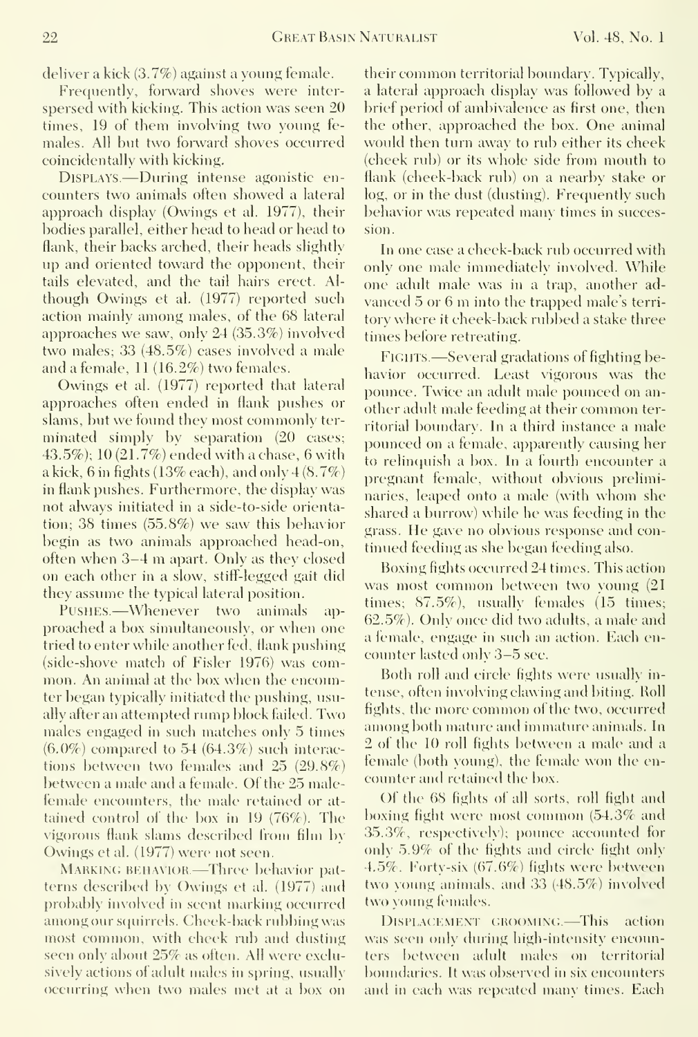deliver a kick (3.7%) against a young female.

Frequently, forward shoves were interspersed with kicking. This action was seen 20 times, 19 of them involving two young fe males. All but two forward shoves occurred coincidentally with kicking.

Displays.—During intense agonistic en counters two animals often showed a lateral approach display (Owings et al. 1977), their bodies parallel, either head to head or head to flank, their backs arched, their heads slightly up and oriented toward the opponent, their tails elevated, and the tail hairs erect. Al though Owings et al. (1977) reported such action mainly among males, of the 68 lateral approaches we saw, only 24 (35.3%) involved two males; 33 (48.5%) cases involved a male and a female, 11 (16.2%) two females.

Owings et al. (1977) reported that lateral approaches often ended in flank pushes or slams, but we found they most commonly ter minated simply by separation (20 cases; 43.5%); 10 (21.7%) ended with a chase, 6 with a kick, 6 in fights (13% each), and only  $4(8.7%)$ in flank pushes. Furthermore, the display was not always initiated in a side-to-side orientation; 38 times (55.8%) we saw this behavior begin as two animals approached head-on, often when 3-4 m apart. Only as they closed on each other in a slow, stiff-legged gait did they assume the typical lateral position.

Pushes.—Whenever two animals ap proached a box simultaneously, or when one tried to enter while another fed, flank pushing (side-shove match of Fisler 1976) was common. An animal at the box when the encounter began typically initiated the pushing, usually after an attempted rump block failed. Two males engaged in such matches only 5 times  $(6.0\%)$  compared to 54  $(64.3\%)$  such interactions between two females and 25 (29.8%) between a male and a female. Of the 25 malefemale encounters, the male retained or at tained control of the box in 19 (76%). The vigorous flank slams described from film by Owings et al. (1977) were not seen.

MARKING BEHAVIOR.-Three behavior patterns described by Owings et al. (1977) and probably involved in seent marking occurred among our squirrels. Cheek-back rubbing was most common, with cheek rub and dusting seen only about 25% as often. All were exclusively actions of adult males in spring, usually occurring when two males met at <sup>a</sup> box on

their common territorial boundary. Typically, a lateral approach display was followed by a brief period of ambivalence as first one, then the other, approached the box. One animal would then turn away to rub either its cheek (cheek rub) or its whole side from mouth to flank (cheek-back rub) on a nearby stake or log, or in the dust (dusting). Frequently such behavior was repeated many times in succession.

In one case a cheek-back rub occurred with only one male immediately involved. While one adult male was in a trap, another advanced <sup>5</sup> or <sup>6</sup> m into the trapped male's terri tory where it cheek-back rubbed a stake three times before retreating.

FIGHTS. —Several gradations of fighting behavior occurred. Least vigorous was the pounce. Twice an adult male pounced on an other adult male feeding at their common territorial boundary. In a third instance a male pounced on a female, apparently causing her to relinquish a box. In a fourth encounter a pregnant female, without obvious preliminaries, leaped onto <sup>a</sup> male (with whom she shared a burrow) while he was feeding in the grass. He gave no obvious response and con tinued feeding as she began feeding also.

Boxing fights occurred 24 times. This action was most common between two young (21 times; 87.5%), usually females (15 times; 62.5%). Only once did two adults, a male and a female, engage in such an action. Each en counter lasted only 3-5 sec.

Both roll and circle fights were usually intense, often invoking clawing and biting. Roll fights, the more common of the two, occurred among both mature and immature animals. In 2 of the 10 roll fights between a male and a female (both young), the female won the encounter and retained the box.

Of the 68 fights of all sorts, roll fight and boxing fight were most conunon (54.3% and 35.3%, respectixek); pounce accounted for only 5.9% of the fights and circle fight only 4.5%. Forty-six (67.6%) fights were between two voung animals, and 33 (48.5%) involved two young females.

DISPLACEMENT GROOMING. This action was seen only during high-intensity encounters between adult males on territorial boundaries. It was obserxed in six encounters and in each was repeated many times. Each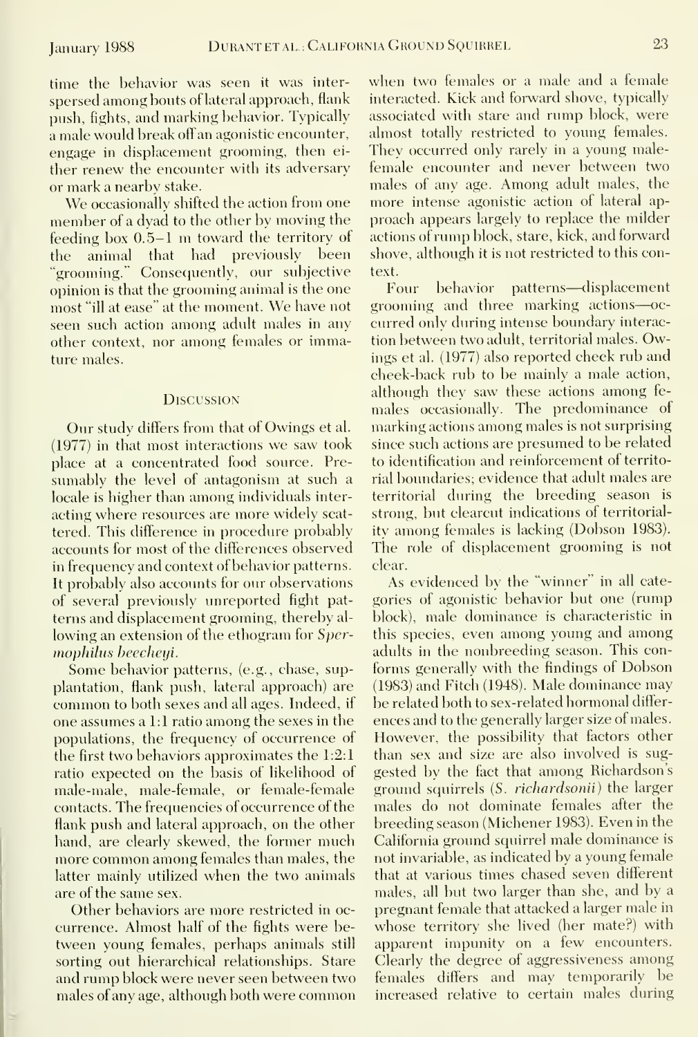time the behavior was seen it was inter spersed among bouts of lateral approach, flank push, fights, and marking behavior. Typically a male would break off an agonistic encounter, engage in displacement grooming, then ei ther renew the encounter with its adversary or mark a nearby stake.

We occasionally shifted the action from one member of <sup>a</sup> dyad to the other by moving the feeding box 0.5-1 m toward the territory of the animal that had previously been "grooming." Consequently, our subjective opinion is that the grooming animal is the one most "ill at ease" at the moment. We have not seen such action among adult males in any other context, nor among females or immature males.

#### **DISCUSSION**

Our study differs from that of Owings et al. (1977) in that most interactions we saw took place at a concentrated food source. Pre sumably the level of antagonism at such a locale is higher than among individuals inter acting where resources are more widely scat tered. This difference in procedure probably accounts for most of the differences observed in frequency and context of behavior patterns. It probably also accounts for our observations of several previously unreported fight pat terns and displacement grooming, thereby al lowing an extension of the ethogram for Spermophilus beecheyi.

Some behavior patterns, (e.g., chase, supplantation, flank push, lateral approach) are common toboth sexes and all ages. Indeed, if one assumes a 1:1 ratio among the sexes in the populations, the frequency of occurrence of the first two behaviors approximates the 1.2:1 ratio expected on the basis of likelihood of male-male, male-female, or female-female contacts. The frequencies of occurrence of the flank push and lateral approach, on the other hand, are clearly skewed, the former much more common among females than males, the latter mainly utilized when the two animals are of the same sex.

Other behaviors are more restricted in oc currence. Almost half of the fights were between young females, perhaps animals still sorting out hierarchical relationships. Stare and rump block were never seen between two males of any age, although both were common when two females or a male and <sup>a</sup> female interacted. Kick and forward shove, typically associated with stare and rump block, were almost totally restricted to young females. They occurred only rarely in a young malefemale encounter and never between two males of any age. Among adult males, the more intense agonistic action of lateral ap proach appears largely to replace the milder actions of rump block, stare, kick, and forward shove, although it is not restricted to this context.

behavior patterns—displacement grooming and three marking actions—oc curred only during intense boundary interaction between two adult, territorial males. Owings et al. (1977) also reported cheek rub and cheek-back rub to be mainly a male action, although they saw these actions among fe males occasionally. The predominance of marking actions among males is not surprising since such actions are presumed to be related to identification and reinforcement of territorial boundaries; evidence that adult males are territorial during the breeding season is strong, but clearcut indications of territoriality among females is lacking (Dobson 1983). The role of displacement grooming is not clear.

As evidenced by the "winner" in all cate gories of agonistic behavior but one (rump block), male dominance is characteristic in this species, even among young and among adults in the nonbreeding season. This con forms generally with the findings of Dobson (1983) and Fitch (1948). Male dominance may be related both to sex-related hormonal differ ences and to the generally larger size of males. However, the possibility that factors other than sex and size are also involved is sug gested by the fact that among Richardson's ground squirrels (S. richardsonii) the larger males do not dominate females after the breeding season (Michener 1983). Even in the California ground squirrel male dominance is not invariable, as indicated by a young female that at various times chased seven different males, all but two larger than she, and by a pregnant female that attacked a larger male in whose territory she lived (her mate?) with apparent impunity on a few encounters. Clearly the degree of aggressiveness among females differs and may temporarily be increased relative to certain males during